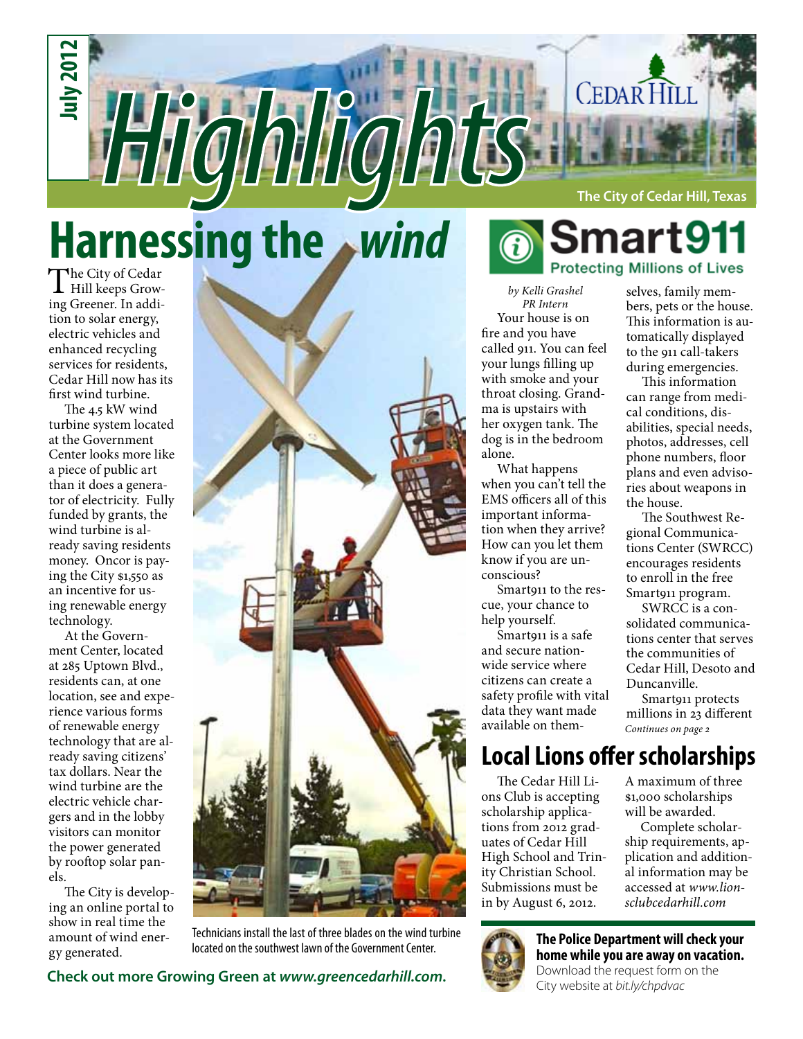

# **Harnessing the** *wind*

The City of Cedar<br>Hill keeps Growing Greener. In addition to solar energy, electric vehicles and enhanced recycling services for residents, Cedar Hill now has its first wind turbine.

The 4.5 kW wind turbine system located at the Government Center looks more like a piece of public art than it does a generator of electricity. Fully funded by grants, the wind turbine is already saving residents money. Oncor is paying the City \$1,550 as an incentive for using renewable energy technology.

At the Government Center, located at 285 Uptown Blvd., residents can, at one location, see and experience various forms of renewable energy technology that are already saving citizens' tax dollars. Near the wind turbine are the electric vehicle chargers and in the lobby visitors can monitor the power generated by rooftop solar panels.

The City is developing an online portal to show in real time the amount of wind energy generated.



Technicians install the last of three blades on the wind turbine located on the southwest lawn of the Government Center.

Check out more Growing Green at *www.greencedarhill.com*.<br>City website at *bit.ly/chpdvac* 

## smart9<sup>.</sup> **Protecting Millions of Lives**

*by Kelli Grashel PR Intern* Your house is on fire and you have called 911. You can feel your lungs filling up with smoke and your throat closing. Grandma is upstairs with her oxygen tank. The dog is in the bedroom alone.

What happens when you can't tell the EMS officers all of this important information when they arrive? How can you let them know if you are unconscious?

Smart911 to the rescue, your chance to help yourself.

Smart911 is a safe and secure nationwide service where citizens can create a safety profile with vital data they want made available on themselves, family members, pets or the house. This information is automatically displayed to the 911 call-takers during emergencies.

This information can range from medical conditions, disabilities, special needs, photos, addresses, cell phone numbers, floor plans and even advisories about weapons in the house.

The Southwest Regional Communications Center (SWRCC) encourages residents to enroll in the free Smart911 program.

SWRCC is a consolidated communications center that serves the communities of Cedar Hill, Desoto and Duncanville.

*Continues on page 2* Smart911 protects millions in 23 different

### **Local Lions offer scholarships**

The Cedar Hill Lions Club is accepting scholarship applications from 2012 graduates of Cedar Hill High School and Trinity Christian School. Submissions must be in by August 6, 2012.

A maximum of three \$1,000 scholarships will be awarded.

Complete scholarship requirements, application and additional information may be accessed at *www.lionsclubcedarhill.com*



#### **The Police Department will check your home while you are away on vacation.**

Download the request form on the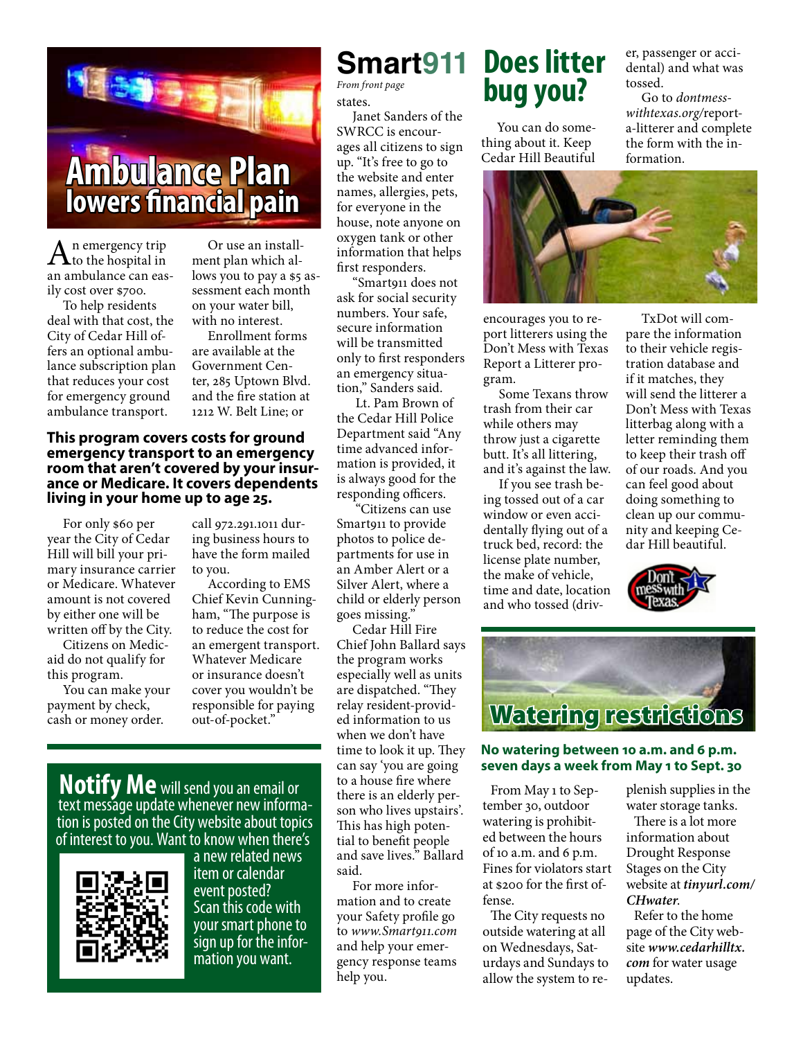

 $A<sub>n</sub>$  emergency trip
to the hospital in  $A<sub>n</sub>$ an ambulance can easily cost over \$700.

To help residents deal with that cost, the City of Cedar Hill offers an optional ambulance subscription plan that reduces your cost for emergency ground ambulance transport.

Or use an installment plan which allows you to pay a \$5 assessment each month on your water bill, with no interest.

Enrollment forms are available at the Government Center, 285 Uptown Blvd. and the fire station at 1212 W. Belt Line; or

**This program covers costs for ground emergency transport to an emergency room that aren't covered by your insur- ance or Medicare. It covers dependents living in your home up to age 25.**

For only \$60 per year the City of Cedar Hill will bill your primary insurance carrier or Medicare. Whatever amount is not covered by either one will be written off by the City.

Citizens on Medicaid do not qualify for this program.

You can make your payment by check, cash or money order.

call 972.291.1011 during business hours to have the form mailed to you.

According to EMS Chief Kevin Cunningham, "The purpose is to reduce the cost for an emergent transport. Whatever Medicare or insurance doesn't cover you wouldn't be responsible for paying out-of-pocket."

**Smart911**

states. *From front page*

Janet Sanders of the SWRCC is encourages all citizens to sign up. "It's free to go to the website and enter names, allergies, pets, for everyone in the house, note anyone on oxygen tank or other information that helps first responders.

"Smart911 does not ask for social security numbers. Your safe, secure information will be transmitted only to first responders an emergency situation," Sanders said.

 Lt. Pam Brown of the Cedar Hill Police Department said "Any time advanced information is provided, it is always good for the responding officers.

 "Citizens can use Smart911 to provide photos to police departments for use in an Amber Alert or a Silver Alert, where a child or elderly person goes missing."

Cedar Hill Fire Chief John Ballard says the program works especially well as units are dispatched. "They relay resident-provided information to us when we don't have time to look it up. They can say 'you are going to a house fire where there is an elderly person who lives upstairs'. This has high potential to benefit people and save lives." Ballard said.

For more information and to create your Safety profile go to *www.Smart911.com* and help your emergency response teams help you.

### **Does litter bug you?**

You can do something about it. Keep Cedar Hill Beautiful



encourages you to report litterers using the Don't Mess with Texas Report a Litterer program.

Some Texans throw trash from their car while others may throw just a cigarette butt. It's all littering, and it's against the law.

If you see trash being tossed out of a car window or even accidentally flying out of a truck bed, record: the license plate number, the make of vehicle, time and date, location and who tossed (driv-

TxDot will compare the information to their vehicle registration database and if it matches, they will send the litterer a Don't Mess with Texas litterbag along with a letter reminding them to keep their trash off of our roads. And you can feel good about doing something to clean up our community and keeping Cedar Hill beautiful.

er, passenger or accidental) and what was

Go to *dontmesswithtexas.org/*reporta-litterer and complete the form with the in-

tossed.

formation.





#### **No watering between 10 a.m. and 6 p.m. seven days a week from May 1 to Sept. 30**

From May 1 to September 30, outdoor watering is prohibited between the hours of 10 a.m. and 6 p.m. Fines for violators start at \$200 for the first offense.

The City requests no outside watering at all on Wednesdays, Saturdays and Sundays to allow the system to replenish supplies in the water storage tanks.

There is a lot more information about Drought Response Stages on the City website at *tinyurl.com/ CHwater*.

Refer to the home page of the City website *www.cedarhilltx. com* for water usage updates.

**Notify Me** will send you an email or text message update whenever new informatext message update whenever new informa-<br>tion is posted on the City website about topics of interest to you. Want to know when there's



a new related news item or calendar event posted? Scan this code with your smart phone to sign up for the infor- mation you want.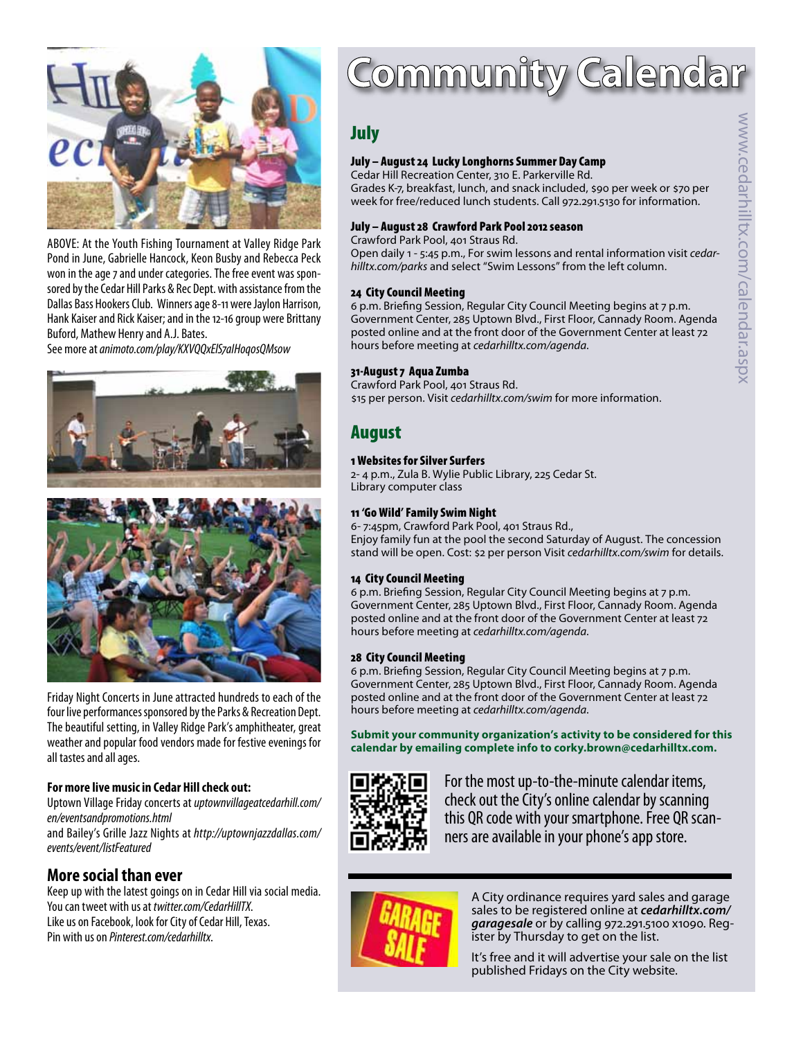

ABOVE: At the Youth Fishing Tournament at Valley Ridge Park Pond in June, Gabrielle Hancock, Keon Busby and Rebecca Peck won in the age 7 and under categories. The free event was sponsored by the Cedar Hill Parks & Rec Dept. with assistance from the Dallas Bass Hookers Club. Winners age 8-11 were Jaylon Harrison, Hank Kaiser and Rick Kaiser; and in the 12-16 group were Brittany Buford, Mathew Henry and A.J. Bates.

See more at *animoto.com/play/KXVQQxElS7aIHoq0sQMs0w*





Friday Night Concerts in June attracted hundreds to each of the four live performances sponsored by the Parks & Recreation Dept. The beautiful setting, in Valley Ridge Park's amphitheater, great weather and popular food vendors made for festive evenings for all tastes and all ages.

#### **For more live music in Cedar Hill check out:**

Uptown Village Friday concerts at *uptownvillageatcedarhill.com/ en/eventsandpromotions.html*

and Bailey's Grille Jazz Nights at *http://uptownjazzdallas.com/ events/event/listFeatured*

#### **More social than ever**

Keep up with the latest goings on in Cedar Hill via social media. You can tweet with us at *twitter.com/CedarHillTX*. Like us on Facebook, look for City of Cedar Hill, Texas. Pin with us on *Pinterest.com/cedarhilltx*.

## Community Calendar

#### July

#### July – August 24 Lucky Longhorns Summer Day Camp

Cedar Hill Recreation Center, 310 E. Parkerville Rd. Grades K-7, breakfast, lunch, and snack included, \$90 per week or \$70 per week for free/reduced lunch students. Call 972.291.5130 for information.

#### July – August 28 Crawford Park Pool 2012 season

Crawford Park Pool, 401 Straus Rd.

Open daily 1 - 5:45 p.m., For swim lessons and rental information visit *cedarhilltx.com/parks* and select "Swim Lessons" from the left column.

#### 24 City Council Meeting

6 p.m. Briefing Session, Regular City Council Meeting begins at 7 p.m. Government Center, 285 Uptown Blvd., First Floor, Cannady Room. Agenda posted online and at the front door of the Government Center at least 72 hours before meeting at *cedarhilltx.com/agenda*.

#### 31-August 7 Aqua Zumba

Crawford Park Pool, 401 Straus Rd. \$15 per person. Visit *cedarhilltx.com/swim* for more information.

#### August

#### 1 Websites for Silver Surfers

2- 4 p.m., Zula B. Wylie Public Library, 225 Cedar St. Library computer class

#### 11 'Go Wild' Family Swim Night

6- 7:45pm, Crawford Park Pool, 401 Straus Rd., Enjoy family fun at the pool the second Saturday of August. The concession stand will be open. Cost: \$2 per person Visit *cedarhilltx.com/swim* for details.

#### 14 City Council Meeting

6 p.m. Briefing Session, Regular City Council Meeting begins at 7 p.m. Government Center, 285 Uptown Blvd., First Floor, Cannady Room. Agenda posted online and at the front door of the Government Center at least 72 hours before meeting at *cedarhilltx.com/agenda*.

#### 28 City Council Meeting

6 p.m. Briefing Session, Regular City Council Meeting begins at 7 p.m. Government Center, 285 Uptown Blvd., First Floor, Cannady Room. Agenda posted online and at the front door of the Government Center at least 72 hours before meeting at *cedarhilltx.com/agenda*.

**Submit your community organization's activity to be considered for this calendar by emailing complete info to corky.brown@cedarhilltx.com.**



For the most up-to-the-minute calendar items, check out the City's online calendar by scanning this QR code with your smartphone. Free QR scanners are available in your phone's app store.



A City ordinance requires yard sales and garage sales to be registered online at *cedarhilltx.com/ garagesale* or by calling 972.291.5100 x1090. Reg- ister by Thursday to get on the list.

It's free and it will advertise your sale on the list published Fridays on the City website.